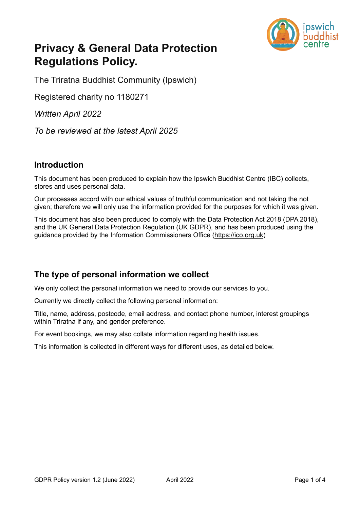

# **Privacy & General Data Protection Regulations Policy.**

The Triratna Buddhist Community (Ipswich)

Registered charity no 1180271

*Written April 2022* 

*To be reviewed at the latest April 2025*

#### **Introduction**

This document has been produced to explain how the Ipswich Buddhist Centre (IBC) collects, stores and uses personal data.

Our processes accord with our ethical values of truthful communication and not taking the not given; therefore we will only use the information provided for the purposes for which it was given.

This document has also been produced to comply with the Data Protection Act 2018 (DPA 2018), and the UK General Data Protection Regulation (UK GDPR), and has been produced using the guidance provided by the Information Commissioners Office ([https://ico.org.uk\)](https://ico.org.uk)

## **The type of personal information we collect**

We only collect the personal information we need to provide our services to you.

Currently we directly collect the following personal information:

Title, name, address, postcode, email address, and contact phone number, interest groupings within Triratna if any, and gender preference.

For event bookings, we may also collate information regarding health issues.

This information is collected in different ways for different uses, as detailed below.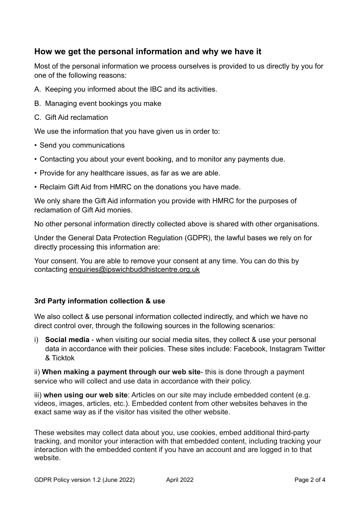### **How we get the personal information and why we have it**

Most of the personal information we process ourselves is provided to us directly by you for one of the following reasons:

- A. Keeping you informed about the IBC and its activities.
- B. Managing event bookings you make
- C. Gift Aid reclamation

We use the information that you have given us in order to:

- Send you communications
- Contacting you about your event booking, and to monitor any payments due.
- Provide for any healthcare issues, as far as we are able.
- Reclaim Gift Aid from HMRC on the donations you have made.

We only share the Gift Aid information you provide with HMRC for the purposes of reclamation of Gift Aid monies.

No other personal information directly collected above is shared with other organisations.

Under the General Data Protection Regulation (GDPR), the lawful bases we rely on for directly processing this information are:

Your consent. You are able to remove your consent at any time. You can do this by contacting [enquiries@ipswichbuddhistcentre.org.uk](mailto:enquiries@ipswichbuddhistcentre.org.uk)

#### **3rd Party information collection & use**

We also collect & use personal information collected indirectly, and which we have no direct control over, through the following sources in the following scenarios:

i) **Social media** - when visiting our social media sites, they collect & use your personal data in accordance with their policies. These sites include: Facebook, Instagram Twitter & Ticktok

ii) **When making a payment through our web site**- this is done through a payment service who will collect and use data in accordance with their policy.

iii) **when using our web site**: Articles on our site may include embedded content (e.g. videos, images, articles, etc.). Embedded content from other websites behaves in the exact same way as if the visitor has visited the other website.

These websites may collect data about you, use cookies, embed additional third-party tracking, and monitor your interaction with that embedded content, including tracking your interaction with the embedded content if you have an account and are logged in to that website.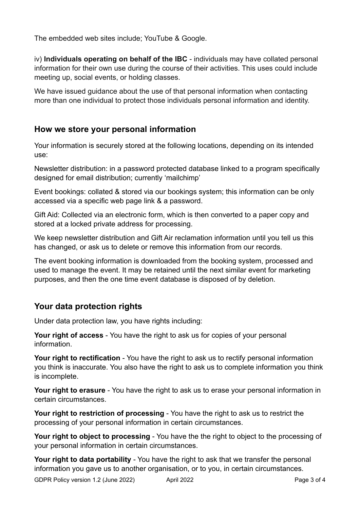The embedded web sites include; YouTube & Google.

iv) **Individuals operating on behalf of the IBC** - individuals may have collated personal information for their own use during the course of their activities. This uses could include meeting up, social events, or holding classes.

We have issued guidance about the use of that personal information when contacting more than one individual to protect those individuals personal information and identity.

# **How we store your personal information**

Your information is securely stored at the following locations, depending on its intended use:

Newsletter distribution: in a password protected database linked to a program specifically designed for email distribution; currently 'mailchimp'

Event bookings: collated & stored via our bookings system; this information can be only accessed via a specific web page link & a password.

Gift Aid: Collected via an electronic form, which is then converted to a paper copy and stored at a locked private address for processing.

We keep newsletter distribution and Gift Air reclamation information until you tell us this has changed, or ask us to delete or remove this information from our records.

The event booking information is downloaded from the booking system, processed and used to manage the event. It may be retained until the next similar event for marketing purposes, and then the one time event database is disposed of by deletion.

# **Your data protection rights**

Under data protection law, you have rights including:

**Your right of access** - You have the right to ask us for copies of your personal information.

**Your right to rectification** - You have the right to ask us to rectify personal information you think is inaccurate. You also have the right to ask us to complete information you think is incomplete.

**Your right to erasure** - You have the right to ask us to erase your personal information in certain circumstances.

**Your right to restriction of processing** - You have the right to ask us to restrict the processing of your personal information in certain circumstances.

Your right to object to processing - You have the the right to object to the processing of your personal information in certain circumstances.

**Your right to data portability** - You have the right to ask that we transfer the personal information you gave us to another organisation, or to you, in certain circumstances.